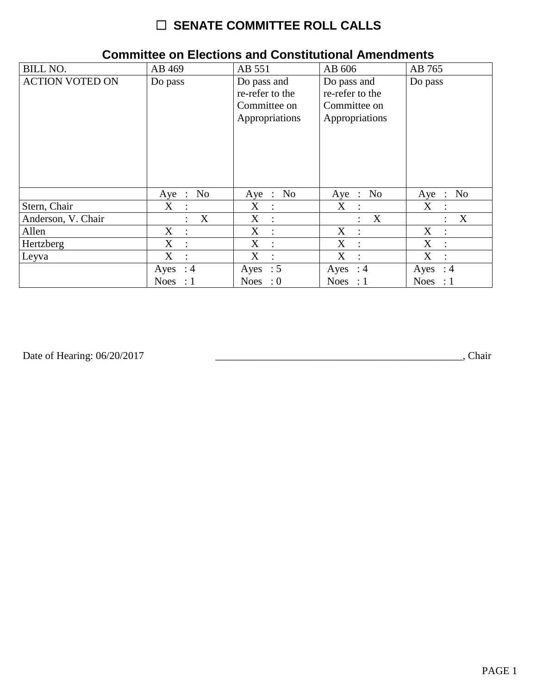# ☐ **SENATE COMMITTEE ROLL CALLS**

| <b>BILL NO.</b>        | AB 469                    | AB 551                                                           | AB 606                                                           | AB 765                        |
|------------------------|---------------------------|------------------------------------------------------------------|------------------------------------------------------------------|-------------------------------|
| <b>ACTION VOTED ON</b> | Do pass                   | Do pass and<br>re-refer to the<br>Committee on<br>Appropriations | Do pass and<br>re-refer to the<br>Committee on<br>Appropriations | Do pass                       |
|                        | No<br>$Aye$ :             | Aye : No                                                         | Aye : No                                                         | No<br>$Aye$ :                 |
| Stern, Chair           | $X_{\mathcal{C}}$         | $X_{\mathcal{C}}$                                                | X                                                                | $X_{\mathcal{C}}$             |
|                        | $\ddot{\cdot}$            | $\ddot{\phantom{a}}$                                             | $\ddot{\phantom{1}}$                                             | $\ddot{\cdot}$                |
| Anderson, V. Chair     | X                         | X                                                                | X                                                                | X                             |
|                        | $\bullet$                 | $\ddot{\phantom{a}}$                                             | $\ddot{\phantom{0}}$                                             | $\bullet$                     |
| Allen                  | $X_{\mathcal{C}}$         | X                                                                | X                                                                | X                             |
|                        | $\ddot{\cdot}$            | $\ddot{\phantom{a}}$                                             | $\mathbb{R}^2$                                                   | $\ddot{\phantom{a}}$          |
| Hertzberg              | X                         | X                                                                | X                                                                | X                             |
|                        | $\ddot{\cdot}$            | $\ddot{\phantom{a}}$                                             | $\cdot$ .                                                        | $\ddot{\phantom{a}}$          |
| Leyva                  | X                         | X                                                                | X                                                                | X                             |
|                        | $\ddot{\cdot}$            | $\ddot{\cdot}$                                                   | $\mathbb{R}$                                                     | $\ddot{\cdot}$                |
|                        | Ayes : $4$                | Ayes : $5$                                                       | Ayes : $4$                                                       | $\therefore$ 4<br>Ayes        |
|                        | <b>Noes</b><br>$\colon 1$ | Noes : $0$                                                       | Noes : $1$                                                       | <b>Noes</b><br>$\therefore$ 1 |

#### **Committee on Elections and Constitutional Amendments**

Date of Hearing: 06/20/2017

Date of Hearing: 06/20/2017 \_\_\_\_\_\_\_\_\_\_\_\_\_\_\_\_\_\_\_\_\_\_\_\_\_\_\_\_\_\_\_\_\_\_\_\_\_\_\_\_\_\_\_\_\_\_\_, Chair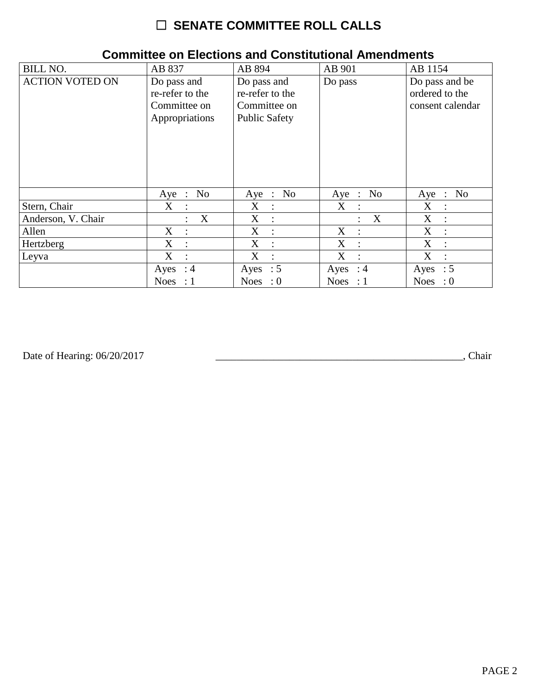# ☐ **SENATE COMMITTEE ROLL CALLS**

| <b>BILL NO.</b>        | AB 837                                                           | AB 894                                                                 | AB 901                                   | AB 1154                                              |
|------------------------|------------------------------------------------------------------|------------------------------------------------------------------------|------------------------------------------|------------------------------------------------------|
| <b>ACTION VOTED ON</b> | Do pass and<br>re-refer to the<br>Committee on<br>Appropriations | Do pass and<br>re-refer to the<br>Committee on<br><b>Public Safety</b> | Do pass                                  | Do pass and be<br>ordered to the<br>consent calendar |
|                        | No<br>$Aye$ :                                                    | N <sub>0</sub><br>Aye :                                                | Aye : No                                 | N <sub>0</sub><br>Aye<br>$\sim$ 1.                   |
| Stern, Chair           | $X_{\mathcal{E}}$<br>$\ddot{\cdot}$                              | $X_{\mathcal{C}}$<br>$\ddot{\cdot}$                                    | X<br>$\mathbb{R}$                        | X<br>$\ddot{\cdot}$                                  |
| Anderson, V. Chair     | X                                                                | X<br>$\ddot{\cdot}$                                                    | $\boldsymbol{X}$<br>$\ddot{\phantom{a}}$ | X<br>$\ddot{\phantom{a}}$                            |
| Allen                  | $\mathbf X$<br>$\cdot$                                           | X<br>$\ddot{\cdot}$                                                    | X<br>$\cdot$ :                           | X<br>$\ddot{\cdot}$                                  |
| Hertzberg              | X<br>$\ddot{\phantom{a}}$                                        | X<br>$\ddot{\phantom{a}}$                                              | X<br>$\cdot$                             | X<br>$\ddot{\cdot}$                                  |
| Leyva                  | X<br>$\ddot{\cdot}$                                              | X<br>$\ddot{\cdot}$                                                    | X<br>$\ddot{\cdot}$                      | X<br>$\ddot{\cdot}$                                  |
|                        | Ayes : $4$                                                       | Ayes : $5$                                                             | Ayes : $4$                               | Ayes : $5$                                           |
|                        | <b>Noes</b><br>$\therefore$ 1                                    | Noes : $0$                                                             | Noes : $1$                               | Noes : $0$                                           |

#### **Committee on Elections and Constitutional Amendments**

Date of Hearing: 06/20/2017

Date of Hearing: 06/20/2017 \_\_\_\_\_\_\_\_\_\_\_\_\_\_\_\_\_\_\_\_\_\_\_\_\_\_\_\_\_\_\_\_\_\_\_\_\_\_\_\_\_\_\_\_\_\_\_, Chair